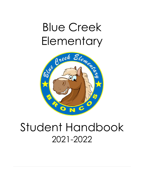# Blue Creek Elementary



## Student Handbook 2021-2022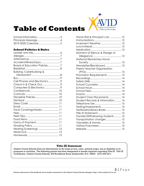

## **Table of Contents**

| School Information3 |  |
|---------------------|--|
| Principals Message4 |  |
|                     |  |

#### **School Policies & Rules**

| Accident/Illness/Injury7             |  |
|--------------------------------------|--|
| Board of Education Policies7         |  |
|                                      |  |
| <b>Bullying, Cyberbullying &amp;</b> |  |
|                                      |  |
|                                      |  |
| Cell Phones and Electronics9         |  |
| Check in & Check Out9                |  |
| Computers & Electronics 9            |  |
|                                      |  |
|                                      |  |
| Discipline Policies 10               |  |
|                                      |  |
|                                      |  |
|                                      |  |
| Face Coverings/Masks11               |  |
|                                      |  |
|                                      |  |
|                                      |  |
| Forms of Payment11                   |  |
|                                      |  |
| Hearing Screenings  12               |  |
|                                      |  |
|                                      |  |
|                                      |  |

| Honor Roll & Principal's List  12 |  |
|-----------------------------------|--|
|                                   |  |
| Inclement Weather 12              |  |
|                                   |  |
|                                   |  |
| Moment of Silence & Pledge of     |  |
|                                   |  |
| National Elementary Honor         |  |
|                                   |  |
| Newsletter/Blackboard  13         |  |
| Parent Teacher Organization       |  |
|                                   |  |
| Promotion Requirements 13         |  |
|                                   |  |
|                                   |  |
| School Counselor  14              |  |
|                                   |  |
|                                   |  |
|                                   |  |
| Student Class Placements 14       |  |
| Student Records & Information 14  |  |
|                                   |  |
| Testing/Assessments 15            |  |
| Textbooks/Library Books  15       |  |
| Title IX Statement 15             |  |
| Transfer/Withdrawing students 15  |  |
| Transportation changes  15        |  |
| Valuables & Money  15             |  |
| Visitors/Volunteers 15            |  |
|                                   |  |
|                                   |  |

#### **Title IX Statement**

Onslow County Schools does not discriminate on the basis of race, color, national origin, sex or disability in its programs or activities. The following person has been designated to handle inquiries regarding Title IX: Title IX Coordinator, Onslow County Schools, 200 Broadhurst Road, Jacksonville, N.C. 28540 (910) 455-2211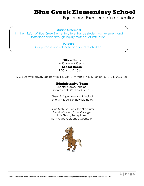## **Blue Creek Elementary School**

Equity and Excellence in education

#### **Mission Statement**

It is the mission of Blue Creek Elementary to enhance student achievement and foster leadership through inquiry methods of instruction.

#### **Purpose**

Our purpose is to educate and socialize children.

#### **Office Hours**

6:45 a.m. – 3:30 p.m. **School Hours** 7:00 a.m. -2:15 p.m.

1260 Burgaw Highway Jacksonville, NC 28540 (910)347-1717 (office) (910) 347-0095 (fax)

#### **Administrative Team**

Shanta' Cooks, Principal shanta.cooks@onslow.k12.nc.us

Cheryl Twigger, Assistant Principal cheryl.twigger@onslow.k12.nc.us

Laurie McLeod, Secretary/Treasurer Brenda Correa, Data Manager Julie Shivar, Receptionist Beth Atkins, Guidance Counselor

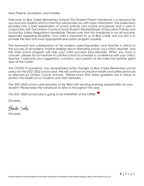Dear Parents, Guardians, and Families:

Welcome to Blue Creek Elementary School! The Student-Parent Handbook is a resource for you and your student and is a tool that will provide you with basic information. This publication provides only a brief explanation of school policies and routine procedures and is used in conjunction with the Onslow County Schools Student Related Board of Education Policies and School Bus Safety Regulations Handbook**.** Please note that this handbook is not all inclusive, especially regarding discipline. Your child is important to us at Blue Creek and our aim is to provide the best and most appropriate education program possible.

The teamwork and collaboration of the student, parent/guardian, and teacher is critical to the success of all students. Positive feelings about attending school, your child's teacher, and the total school program will help your child succeed educationally. When you have a concern, please do not hesitate to call the school to schedule a conference with your child's teacher. I welcome your suggestions, concerns, and support as we make this another great year at the Creek!

The COVID-19 pandemic has necessitated some changes to Blue Creek Elementary school policy for the 2021-2022 school year. We will continue to practice health and safety protocols as directed by Onslow County Schools. Please know that these guideless are in place to protect the health of our students and staff members.

The 2021-2022 school year promises to be filled with exciting learning opportunities for your student. Please keep this handbook to refer to throughout this year.

The 2021-2022 school year is going to be AMAZING at the CREEK

Sincerely,

Shanta' Cooks

**Principal**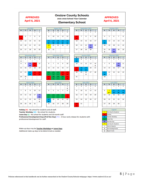#### **APPROVED April 6, 2021**

#### **Onslow County Schools** 2021-2022 School Year Calendar **Elementary School**

#### **APPROVED** April 6, 2021

Oct





| March 2022 |    |                |           |          |
|------------|----|----------------|-----------|----------|
| M          | TU | W              | <b>TH</b> | F        |
|            | 1  | $\overline{2}$ | 3         | Δ        |
| 7          | 8  | 9              | 10        | 11       |
| 14         | 15 | 16             | 17        | 18<br>PD |
| 21         | 22 | 23             | 24        | 25       |
|            |    |                |           | G        |
| 28         | 29 | 30             | 31        |          |





6 7 8

20  $\overline{21}$ 

27

28

F ī R

н

22

29

 $\overline{M}$ 

 $\overline{4}$  $\overline{\mathbf{5}}$ 

18

w  $\overline{25}$   $\overline{\mathbf{v}}$  $\overline{\mathbf{w}}$  $\overline{H}$ 

19

26





| <b>May 2022</b>                |    |    |    |    |
|--------------------------------|----|----|----|----|
| M<br>TU<br>W<br><b>TH</b><br>F |    |    |    |    |
| 2                              | 3  | 4  | 5  | 6  |
|                                |    |    |    |    |
|                                |    |    | ı  |    |
| 9                              | 10 | 11 | 12 | 13 |
|                                |    |    |    |    |
| 16                             | 17 | 18 | 19 | 20 |
|                                |    |    |    |    |
|                                |    |    |    |    |
| 23                             | 24 | 25 | 26 | 27 |
|                                |    |    |    |    |
| 30                             | 31 |    |    |    |
|                                |    |    |    |    |
| н                              |    |    |    |    |

 $M$  TU  $W$  TH F 1  $\overline{4}$  $\overline{\mathbf{5}}$ 6  $\overline{7}$  $\overline{\mathbf{8}}$  $\overline{11}$ 12 13 14 15 w 18 19 20 21 22 25 26 27 28 29 G PD

|                | February 2022 |                |           |    |
|----------------|---------------|----------------|-----------|----|
| M              | TU            | w              | <b>TH</b> | F  |
|                | 1             | $\overline{2}$ | 3         | Δ  |
| $\overline{7}$ | 8             | 9              | 10        | 11 |
|                |               |                | PD        |    |
| 14             | 15            | 16             | 17        | 18 |
| 21             | 22            | 23             | 24        | 25 |
| w              | ı             |                |           |    |
| 28             |               |                |           |    |

| <b>June 2022</b> |                      |          |           |    |
|------------------|----------------------|----------|-----------|----|
| M                | <b>TU</b>            | <b>W</b> | <b>TH</b> | F  |
|                  |                      | 1        | 2         | з  |
| 6                | 7                    | 8        | 9         | 10 |
|                  | $G^{\bullet\bullet}$ | w        | w         | w  |
| 13               | 14                   | 15       | 16        | 17 |
| 20               | 21                   | 22       | 23        | 24 |
| 27               | 28                   | 29       | 30        |    |

| Legend |                               |  |
|--------|-------------------------------|--|
|        | <b>First Day for Students</b> |  |
| н      | Holiday                       |  |
| w      | <b>Teacher Workday</b>        |  |
| L      | <b>Leave Day</b>              |  |
| PD     | <b>Prof Dev Day</b>           |  |
|        | <b>Last Day for Students</b>  |  |
|        | <b>Interim Reports</b>        |  |
| G      | <b>End Grading Period</b>     |  |
| R      | <b>Report Cards</b>           |  |
|        |                               |  |

Holiday (H) - No school for students and all staff.

Teacher Workday (W) - No school for students.

Leave Day (L) - No school for students and 10-month staff.

Professional Development Days [Prof Dev Day] (PD) - 3-hour early release for students with professional development for staff.

Make-up days may be Teacher Workdays or Leave Days. Additional make-up days to be determined as needed.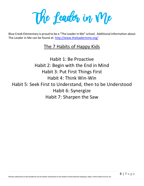The Leader in Me

Blue Creek Elementary is proud to be a "The Leader in Me" school. Additional information about The Leader in Me can be found at:<http://www.theleaderinme.org/>

### The 7 Habits of Happy Kids

Habit 1: Be Proactive Habit 2: Begin with the End in Mind Habit 3: Put First Things First Habit 4: Think Win-Win Habit 5: Seek First to Understand, then to be Understood Habit 6: Synergize Habit 7: Sharpen the Saw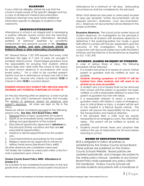#### **ALLERGIES**

If your child has allergies, please be sure that the school is made aware of the specific allergies and has a copy of all relevant medical documentation. Classroom teachers may send home additional information specific to allergies of students in their classrooms.

#### **ABSENCES/ATTENDANCE**

Attendance in school is an integral part in developing a positive attitude toward school and the teachinglearning process. Regular attendance develops patterns of behavior essential to academic achievement and personal success in life. **Therefore, absences, tardies, and early checkouts should be limited to illness or other extenuating circumstances**.

NC General Statue 115C-378 requires that every child between the ages of 7 and 16 years (or younger if enrolled) attend school. Parents/legal guardians have the responsibility for ensuring that students attend school daily and "shall notify the school of the reason for each known absence in accordance with local board policy." For a child to be counted present, he/she must be in attendance at least one half of the school day. Anyone who checks out before **10:50** or checks in after **10:50** is counted absent.

#### **STUDENTS SHOULD STAY HOME IF THEY ARE SICK AND/OR SHOWING ANY POTENTIAL SYMPTOMS OF COVID-19.**

On the day returning after an absence, a note must be given to the child's homeroom teacher that includes the date(s) of absence, reason for absence, and parent's signature. All notes are kept on file in the office.

Absences will be considered excused for the following reasons only: **See Also: OCS Board Policy 4400**

- 1. Personal illness or injury; quarantine (of student)
- 2. Death of an immediate family member (parents, siblings and grandparents of the student)
- 3. Educational opportunity approved in **advance** by the principal (Family vacations and trips are **not** educational opportunities.)
- 4. Medical or dental appointments for the student only
- 5. Court/administrative procedings for the student
- 6. Religious observances (approved in advance)
- 7. Military family leave (See Board Policy 4400)

All other absences are considered unexcused. \*All tardies are marked as unexcused unless a doctor's note is presented upon check-in.

#### **Onslow County Board Policy 4400- Attendance in Grades K-5**

For a student to be considered for promotion to the next grade level, an elementary school student should be in attendance for a minimum of 160 days. Extenuating circumstances shall be considered by the principal.

When total absences (excused or unexcused) exceed 10 days per semester, further documentation will be required (doctor's statement, court documentation, etc.) Absences not documented will be referred to the proper authorities.

**Excessive Absences:** The school social worker tracks all student absences. An investigation by the principal is conducted for all students with excessive absences to determine if the parent/guardian has made a good faith effort to comply with the law. Dependent upon the outcome of the investigation, the principal in conjunction with the social worker may notify the District Attorney and the Director of Social Services as required by G.S. 115C-378.

#### **ACCIDENT, ILLNESS OR INJURY OF STUDENTS**

In case of serious illness or injury, the following procedure will be followed:

- 1. If a student becomes ill or injured at school, his/her parent or guardian shall be notified as soon as possible.
- **2. Students showing symptoms of COVID-19 will be isolated from other students and will need to be picked up as soon as possible.**
- 3. A student who is ill or injured shall not be removed from school until the parent or guardian has been notified, or until a reasonable attempt to reach the parent or guardian has met with failure.
- 4. If a reasonable attempt to reach a parent or guardian meets with failure in cases of emergency due to critical illness or injury, a student will be sent to the hospital in a Rescue Squad vehicle. The parent will assume the responsibility for the cost of the transportation and medical attention.
- 5. If the principal feels a child must be quickly transported to an emergency room, the child will be taken. The parent will be notified as quickly as possible.
- 6. Students should remain fever and symptom free (without the use of medication) for 24 hours before returning to school.

#### **BOARD OF EDUCATION POLICIES**

BCE is obligated to follow all policies as established by the Onslow County School Board. These policies are published on the Onslow County Schools Website. Board policies are updated periodically, and changes are posted to the online policy manual. Updates to any School Board Policy shall supersede any policy cited in this handbook. Onslow County Schools will provide students and parents with a handbook of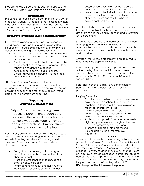Student Related Board of Education Policies and School Bus Safety Regulations on an annual basis.

#### **BREAKFAST**

The school cafeteria opens each morning at 7:00 for breakfast. Students will report to their classrooms when they arrive at school. Students will be sent to the cafeteria for breakfast by homerooms. For additional information see" Lunch/Meals."

#### **BULLYING/CYBERBULLYING/HARRASSMENT**

The terms harassment and bullying are defined by Board policy as any pattern of gestures or written, electronic or verbal communications, or any physical act or any threatening communication that:

- Places a student in actual and reasonable fear of harm to his or her person or damage to his or her property or;
- Creates or has the potential to create a hostile environment by substantially interfering with or impairing a student's educational performance, opportunities, or benefit.
- Creates a substantial disruption to the orderly operation of the school.

"Hostile environment" means that the victim subjectively views the conduct as harassment or bullying and that the conduct is objectively severe or pervasive enough that a reasonable person would agree that it is harassment or bullying.

#### **Reporting Bullying & Harassment**

Bullying/harassment reporting forms for teachers, parents, and students are available in the front office and on the school's webpage. Reports may be made anonymously or submitted directly to the school administrative team.

Harassment, bullying or cyberbullying may include, but are not limited to the following [and may be made verbally, in writing, via electronic message (text message, Tweet, post to a social media site or discussion board, etc.)]:

- Derogatory, demeaning, intimidating, or defaming statements and/or gestures to or about a student.
- Intentional emotional harm to a student by exclusion and/or isolation
- Hostile comments about another student's race, religion, disability, ethnicity, gender,

and/or sexual orientation for the purpose of causing them to feel disliked or humiliated.

• Unwelcome and uninvited physical contact or threats of physical contact that demean or offend the victim and result in a hostile environment for the victim.

Any student who engages in bullying may be subject to counseling within the school – and disciplinary action up to and including suspension and a referral to law enforcement.

Students are expected to immediately report incidents of bullying to the teacher, counselor, or school administration. Students can rely on staff to promptly investigate each complaint of bullying in a thorough and confidential manner.

Any staff who witness acts of bullying are required to take immediate steps to intervene.

If a student or parent feels the appropriate resolution of the investigation or complaint has not been reached, the student or parent should contact the principal or the Onslow County Schools Student Services Office.

Retaliatory behavior against any complainant or participant in the complaint process is strictly prohibited.

#### **Bullying Prevention:**

- All staff receive bullying awareness professional development throughout the school year.
- Teachers are trained in the use of classroom meetings for problem solving.
- The school counselor and Military Liaison conduct regular anti-bullying and bullying awareness sessions in all classrooms.
- Students participate in Common Sense Media digital etiquette sessions throughout the year.
- Bullying awareness and anti-bullying information is shared with parents and stakeholders via the bi-monthly BCE Newsletters.

#### **BUSES**

Parents should review bus rules and regulations that are printed in the *Onslow County Schools Student Related Board of Education Policies and School Bus Safety Regulations Handbook.* A copy of this handbook is provided to every student annually. All changes must be approved by administration before the student boards the bus. Approval is contingent upon the reason for the request and the capacity of the buses. Request must be made in writing prior to 1:00.

**NO changes will be taken over the phone.**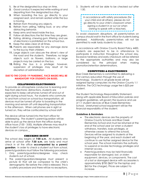- **1.** Be at the designated bus stop on time.
- **2.** Good conduct is expected while waiting at and departing from the designated bus stop.
- **3.** When boarding the bus, go directly to your assigned seat, and remain seated while the bus is moving.
- **4.** Refrain from throwing any objects.
- **5.** Refrain from yelling, talking loud, or any other distracting behavior.
- **6.** Keep arms and head inside the bus.
- **7.** Follow all directions the first time they are given.
- **8.** Eating, drinking, chewing gum, littering, and use of electronics is prohibited on the school bus.
- **9.** Keep the aisles clear at all times.
- **10.** Parents are responsible for any damage done to the bus by their children.
- **11.** Large objects can obscure the driver's view of the road and the students. Therefore, no large objects such as flowers, balloons, or large projects may be carried on the bus.
- **12.** Riding the bus is a privilege; however, suspension of privileges may result at he discretion of administration

#### **DUE TO THE COVID-19 PANDEMIC, FACE MASKS WILL BE MANDATORY FOR STUDENTS ON BUSES.**

#### **CELLPHONES/ELECTRONICS**

To provide an atmosphere conducive to learning and free from electronic distractions, students are expected to keep cell phones turned off and out of sight during school hours. For students who commute to and from school on school-bus transportation, all devices must be turned off prior to boarding in the morning and remain off until departing transportation in the afternoon. When cell phones are in sight or turned on, they will be confiscated by school staff.

The device will be turned into the front office for safekeeping. The student's parent/guardian will be able to pick up the device from the office during office hours (7:00 - 3:00). Multiple offenses may result in the student's loss of privileges to have electronic devices on campus.

#### **CHECKING IN/OUT**

The school day begins at **7:00 a.m.** All students who arrive at school after **7:30 a.m.** are tardy and must check in at the office **accompanied by a parent/ guardian**. In order to check a student out from school, parents/guardians must follow the following procedure:

- 1. Only parents/guardians/designee may check students out of school.
- 2. The parent/guardian/designee must present a picture ID that will be compared to the child's demographic file before the child is released. This is a safety procedure and there will be no exceptions.

3. Students will not be able to be checked out after 1:50.



To avoid classroom disruptions, all parents/visitors on campus should wait in the front office for students being dismissed. Additionally, parents/visitors will not be permitted to walk tardy students to class.

In accordance with Onslow County Board Policy 4400, students are expected to be in attendance to participate in instruction throughout the school day. Excessive tardiness and early checkouts will be referred to the appropriate authorities and may also be considered by the principal when making promotion/retention determinations.

#### **COMPUTERS & ELECTRONICS**

Blue Creek Elementary is committed to delivering a 21st century education through the use of technology. Students in all grade levels will be assigned laptop computers via the Onslow County 1:1 initiative. The OCS technology usage fee is \$25 per student.

The Student Technology Responsibility Statement, along with applicable Board of Education policies and program guidelines, will govern the issuance and use of 1:1 student devices at Blue Creek Elementary School. Unreturned school equipment will be the financial responsibility of the student.

#### **Guidelines & Reminders**

- The electronic devices are the property of Onslow County Schools and Blue Creek Elementary School and must be returned at the end of the school year (or when a student withdraws, transfers, loses privileges, or otherwise ceases to attend the school). Devices will be assigned to students at the beginning of the year, and each student will continue to use his/her assigned device for the school year. The school maintains the authority to suspend or revoke technology privileges and internet access.
- *Parents/guardians may be held financially responsible for damaged, lost, or stolen equipment, devices, or components.* The cost of a lost or damaged device with accessories is approximately \$700 (\$637 for the laptop and \$63 for the charger). Prices are subject to increase.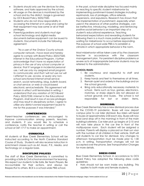- Students should only use the devices for sites, software, and tasks approved by the school.
- All usage on the devices is monitored by the school and by the district. Usage is governed by OCS Board Policy 3225/7320.
- Students who do not show responsibility in accessing the Internet or in using and caring for their equipment may lose some or all of their privileges.
- Parents/guardians and students must sign school technology and digital media documents before equipment can be issued to students. Documents include the following agreement:

*"As a user of the Onslow County schools computer network, I have read and hereby agree to comply with Board Policy 3225/7320, Internet in the Educational Program. I further acknowledge that I have no expectation of privacy in the use of any school computer or device; that if I engage in incidental personal use, I will use only my assigned email program to communicate; and that I will not use nor will I attempt to use, access, or query any nonschool sanctioned internet email service; search, social networking, blog, bulletin board, or chat service; or web or cloud-based electronic service/website. This agreement will remain in effect until terminated in writing. I understand that any violation of OCS Board Policy 3225/7230, Internet in the Educational Program, shall result in loss of access privileges and may result in disciplinary action. I agree to utilize any district-owned equipment issued to me for the purposes it was intended."*

#### **CONFERENCES**

Parent-teacher conferences are encouraged to improve communication among parents, teachers, and students. If you would like to schedule a conference, notify the teacher in writing or call the school at 347-1717 to make an appointment.

#### **CURRICULA**

All students at Blue Creek Elementary School will be instructed according to the North Carolina Standard Course of Study. Students will also receive instruction in enrichment classes such as Art, Music, P.E., Media, and Technology on a regular basis.

#### **DISCIPLINE POLICES**

The staff of Blue Creek Elementary is committed to providing a Safe & Civil school environment for learning. We expect our students to Be Safe, Be Team Players, Be Accountable for their actions, and always be Respectful to others. BCE is a school-wide PBIS school.

In the past, school-wide discipline has focused mainly on reacting to specific student misbehavior by implementing punishment-based strategies including reprimands, loss of privileges, office referrals, suspensions, and expulsions. Research has shown that the implementation of punishment, especially when used in the absence of other positive strategies, can be ineffective. Introducing, modeling, and reinforcing positive social behavior is an important step of a student's educational experience. Teaching behavioral expectations and rewarding students for following them is a much more positive approach than waiting for misbehavior to occur before responding. The purpose of school-wide PBIS is to establish a climate in which appropriate behavior is the norm.

Most misbehavior will be taken care of by the classroom teacher in accordance with the classroom management plan. For persistent discipline problems or severe acts of inappropriate behavior students may be referred to the administration.

#### **SCHOOL RULES:**

- 1. Be courteous and respectful to staff and students.
- 2. Keep hands and feet to themselves at all times.
- 3. Remain quiet and orderly in the buildings and on the school grounds.
- 4. Bring only educationally necessary materials to school. Items such as toys, games, electronics, matches, or sharp objects are not allowed on school grounds and buses. The school is not responsible for lost or stolen items.

#### **DISMISSAL**

Blue Creek Elementary has a new dismissal process due to the COVID-19 pandemic. Buses will now depart campus prior to car rider dismissal. Bus riders will head to buses at approximately 2:00 each day. Buses will now load (and drop off in the morning) in front of the main building/cafeteria. Car rider pick up begins at 2:15 and will now take place in the car line in front of the multipurpose room. Each student will be assigned a number. Parents will display a placard on their sun visor with the number of all children in their vehicle. Staff will call students to car line for dismissal. Any changes to afternoon transportation must be made prior to 1:30 p.m. in writing. Transportation changes will not be accepted over the phone. See Transportation Changes for more details.

#### **DRESS CODE**

Blue Creek Elementary School, in accordance to OCS Board Policy has adopted the following dress code guidelines:

• Hats should not be worn inside any building. This applies to both male and female students.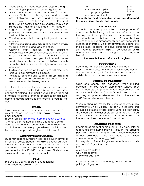- Shorts, skirts, and skorts must be appropriate length. Use the "fingertip rule" as a general guideline.
- Appropriate shoes should be worn for safety reasons. Flip flops, cleats, high heels and Heelies® are not allowed at any time. Sandals that expose the toes are not permitted during PE and structured recess which occurs each day. Students may wear sandals that have an ankle strap on non-PE days.
- Baggy or "Sagging" of pants or shorts is not permitted. A belt must be worn if pants are not able to stay at the waist.
- Wearing long chains or spiked jewelry is not permitted.
- Clothing, **including face masks,** should not contain vulgar or obscene language or pictures.
- Clothing that represent gang affiliation; encourages the use of tobacco, alcohol or other drugs; or contains the use of profanity, sexually explicit, or other messages that would cause substantial disruption or material interference with school activities- or invade the rights of others-is not permitted.
- Shirts must reach the wait of pants; midriff, stomach, or lower back may not be exposed.
- Tank tops (boys and girls), spaghetti strap shirts, and halter tops are not permitted until another shirt is worn over or under these garments.

If a student is dressed inappropriately, the parent or guardian may be contacted to bring an appropriate change of clothing. If an adult is unable to be reached or unable to bring a change of clothes an alternate garment may be loaned to the student to wear for the day.

#### **EMAIL**

If you have a concern or need to communicate with your child's teacher, each OCS employee has an email account.

Teacher Email: [firstname.lastname@onslow.k12.nc.us](mailto:firstname.lastname@onslow.k12.nc.us)

Another quick method of finding a teacher's email address is to go to the school website and follow the links to the teachers webpage. When you click on the teaches name, you will be given a link for email.

#### **FACE COVERINGS/MASKS**

Students will be required to wear face coverings/masks on school buses. Students will also be required wear masks/face coverings in the school building and classrooms. The District is providing two washable masks per student for the 2020-2021 school year. Student face masks must be appropriate for school.

#### **FEES**

The Onslow County Board of Education has established the following fees:

| Art                    | \$1.00  |
|------------------------|---------|
| Instructional Supplies | \$5.00  |
| 1:1 Laptop Usage Fee   | \$25.00 |
| Insurance (optional)   | TRD     |

**\*Students are held responsible for lost and damaged textbooks, library books, and laptops.**

#### **FIELD TRIPS**

Students may have opportunities to participate in off campus activities throughout the year. Information on the purpose of the trip, the cost, and schedules will be shared with parents before the trip. Many of the trips require special bus arrangements and advance ticket purchases. Therefore, we ask that you please adhere to the payment deadlines and due dates for permission slips. Parental permission slips will be required for all students who leave campus during the school day for a field trip.

#### **Please note that no refunds will be given.**

#### **FOOD ITEMS**

Due to the number of students who have food allergies and because of the potential for food borne illnesses, items brought in for birthdays and classroom celebrations must be purchased from stores.

#### **FORMS OF PAYMENT**

Cash and checks are accepted when making payments to Blue Creek Elementary School. Your current address and phone number must be included on the check. Onslow County Schools uses a check recovery company for all returned checks. There will be a \$25 fee for all returned checks.

When making payments for lunch accounts, make payment to Child Nutrition. You can visit the cafeteria to make payments or pay online using a credit card. The website is www.lunchprepay.com. You will need your student's lunch number. This can be provided by the teacher, the cafeteria, or in the office.

#### **GRADING POLICIES**

Report cards are sent home every nine-weeks. Interim reports are sent home midway through the grading period on the dates designated on the Onslow County School calendar. We will have school-wide conferences on October \_\_\_, 2021. Kindergarten, 1st, and 2<sup>nd</sup> grades students report cards use an A, O, B grading system: K-2 A: Above grade level O: On grade level B: Below grade level

Beginning in 3rd grade, student grades will be on a 10 point grading system: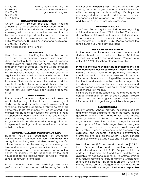$D = 60 - 69$  $F = 59 - Below$ 

#### A = 90-100 Parents may also log into the  $B = 80 - 89$  parent portal to view student  $C = 70 - 79$  grades and progress.

#### **HEARING SCREENINGS**

Onslow County Schools provides mass hearing screenings to all preschool, kindergarten, and 1st graders. In addition, any student can receive a hearing screening with a verbal or written request from a teacher or parent. If you do not want your child to be screened or if you have questions, please contact: Katie Wegman, Au.D., CCC-A, Educational Audiologist 910-455-2211 x 20243

[katie.wegman@onslow.k12.nc.us](mailto:katie.wegman@onslow.k12.nc.us)

#### **HEAD LICE**

Head lice are blood-sucking insects that live on the scalp and hair of humans. They are transmitted by direct contact with others who are infested, wearing infested clothing, using infested combs and brushes, and other types of contact. Students will be checked periodically by teachers and assistants for head lice. The school recommends that you check your child regularly at home as well. Students who have head lice must be picked up from school immediately for treatment. Students who return after having head lice must be brought in by a parent and checked by the school's nurse, or office personnel. Students may not ride the bus until they have been cleared from the office.

#### **HOMEWORK**

The purpose of homework assignments is to reinforce what is being taught in the classroom, develop good study habits, and promote parent involvement in schooling. Students in all grade levels will be assigned homework. These assignments will be structured in a manner that students can successfully complete them independently. Homework is an integral and relevant part of every student's instructional program. Assignments will be brief and allow enough time for independent reding and extracurricular activities outside of school.

#### **HONOR ROLL AND PRINCIPAL'S LIST**

Students should be recognized for academic achievements throughout the year. **The Honor Roll** recognition will be given to students meeting specific criteria. Students must be working on or above grade level and receive no grade below A or B in any area. Handwriting will not be a determining factor in this honor. The students will be recognized by the local newspaper for this achievement, as well as through school/community promotions.

Those students who are exhibiting exemplary performance in the classroom will be recognized with

the honor of **Principal's List**. These students must be working on or above grade level and maintain all A's, with the exception of handwriting. We hope to encourage students to work hard to earn this honor. Recognition will be provided via the local newspaper and through school/community promotions.

#### **IMMUNIZATIONS**

Blue Creek Elementary follows all state laws regarding childhood immunizations. Within the first 30 calendar days of his/her first enrollment date, each student must show evidence of immunizations based on requirements of G.S. 130A-154(b). Please contact the school nurse if you have any questions.

#### **INCLEMENT WEATHER**

In the event of inclement weather, parents and students should listen to the local radio and TV stations for the latest school closing and delays. You may also call 910-989-2211 for school closing information.

**In the event of a 2-hour delay, students should arrive at their designated bus stops exactly 2 hours later than normal.** If bad weather or potentially hazardous conditions result in the early release of students, information about school closings will be announced on local radio and television stations. Make arrangements in advance to prepare for such emergencies and ensure proper supervision will be at home when the student arrives off the bus.

It is imperative that the school has the most up-to-date contact information on file for each student. Please contact the data manager to update your contact information if it changes throughout the school year.

#### **LUNCH/MEALS**

Onslow County Schools provides nutritious breakfast and lunch meals designed to meet the USDA federal guidelines and nutrition standards for school meals. These guidelines limit the amount of fat, sodium, and sugar in meal selections and encourage increased consumption of fresh fruits, vegetables, whole grain products, and calcium rich foods. Well-balanced breakfasts and lunches contribute to the success in the classroom and students' academic performance. Menus are available on the Onslow County Schools website at [www.onslow.k12.nc.us](http://www.onslow.k12.nc.us/) and in local media.

Meal prices are \$1.25 for breakfast and are \$2.25 for lunch. Reduced price breakfast is provided at no cost and reduced lunch cost is \$ .40. Supplemental a la carte items that meet the Smart Snack guidelines are available for additional purchase. Parents/Guardians may request restrictions for students with a written note sent to the cafeteria. Students in grades K-8 with no money will be fed and charged for a meal only. No a la carte items will be charged. **Families are responsible**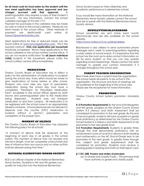**for all meal costs for food eaten by the student until the new meal application has been approved and any charges accrued until that approval.** A parent/guardian may request a copy of their student's account. For any information, contact the school cafeteria manager at 910-347-1717.

Payment for purchases in the cafeteria may be made by cash or check to the school cafeteria. Please do not send money to the school office. Other methods of payment are debit/credit card online at [www.k12paymentcenter.com.](http://www.k12paymentcenter.com/)

Meal applications for free or reduced meals can be found online at [www.lunchapplication.com.](http://www.lunchapplication.com/) This is the quickest method. **Only one application per household**  should be completed. Return meal applications to the school cafeteria or the school nutrition central office. If you do not receive notification for **all (each individual child)** students in the household, please notify the school nutrition central office immediately.

#### **MEDICATION**

Onslow County Board of Education has in effect a policy for the administration of medications to students during the school day. Every effort should be made to give medications at home before or after school. Students who must take any type of prescription medication during the school day must have a completed "Permission for Prescribed Medication Form" (available in the school office) signed by both doctor and parent/guardian prior to the medication being dispensed. Students may not transport medication to and from campus. All medication is to be registered with the school nurse in an appropriately labeled container. School personnel are not allowed to dispense over the counter (OTC) medication to students without a doctor's prescription and completion of the proper form.

#### **MOMENT OF SILENCE**

The Onslow County Board of Education has adopted the following policy for all schools:

"A moment of silence shall be observed at the beginning of each day in all grades in the school system. The moment of silence may not exceed one minute in length, must be completely unstructured and free of influence from any source and no other activity shall be allowed during that time."

#### **NATIONAL ELEMENTARY HONOR SOCIETY**

BCE is an official chapter of the National Elementary Honor Society. Students in 4th and 5th grades can qualify for induction into the National Elementary

Honor Society based on their citizenship and academic performance in elementary school.

If you would like more information on the National Elementary Honor Society, please contact the school and ask to speak with the National Elementary Honor Society advisor.

#### **NEWSLETTERS/BLACKABORD**

School newsletters are sent home each month electronically and are also available on the school website.

<https://www.onslow.k12.nc.us/bluecreekes>

Blackboard is also utilized to send automated phone messages each week to parents/guardians regarding a wide variety of school events. It is imperative that the school has the most up-to-date contact information on file for each student, so that you can stay update regarding school happenings. Please contact the data manager to update your contact information if it changes throughout the school year.

#### **PARENT TEACHER ORGANIZATION**

Blue Creek does have a parent-teacher organization. The school needs all parents to be active in this organization. The structure and time of meetings will be published at the beginning of the school year. Please see the receptionist for more information.

#### **PROMOTION**

Onslow County School System promotion standards are:

**K-2 Promotion Requirements** By the end of kindergarten and first grade, progress on the Onslow County School System K-2 Literacy and Math Assessment shall be considered for promotion to the next grade. By the end of second grade, students will have acquired on-grade level proficiency as determined by the Onslow County School System K-2 Literacy and Math Assessments to be promoted to the next grade level.

**3-5 Promotion Requirements** Students in grades three through five shall demonstrate proficiency with an achievement score at Level III or above in both reading and mathematics on the NC End-of-Grade tests to be promoted to the next grade. In grades three through five, subject and grade requirements shall be considered for promotion. Students must receive a passing grade in reading and math on their report card.

#### **§ 115C-288. Powers and duties of principal.**

(a) To Grade and Classify Pupils. – The principal shall have authority to grade and classify pupils.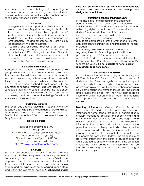#### **RECORDINGS**

Any video, audio, or photographic recording in classrooms or other areas designated for student learning without prior consent from the teacher and/or school administration is strictly prohibited.

#### **SAFETY**

- 1. Emergency Drills As a part of our Safe School Plan, we will practice safety drills on a regular basis. It is important that you stress the importance of participating seriously in the drills in order for your child to build mature, inner resources needed for emergencies. Fire and emergency drills are held in accordance with state regulations.
- 2. Loading and Unloading Your Child at School Students may be dropped off in the front of the school where staff is assisting with car doors. Students should **not** be dropped off in other areas or escorted to class from the parking areas by older siblings under the age of 16. Please use extreme caution.

#### **SCHOOL COUNSELOR**

Blue Creek has a School Counselor who conducts small group, whole class, and individual counseling sessions. The counselor is available to assist students and parents who are experiencing school related problems with their child and to assist/teach units needed by students. Please call the school to schedule conferences with the counselor as needed. Informative parent sessions will be scheduled during the school year by the guidance counselor. Additional information will be sent home concerning the dates, time, sessions being offered, and speakers for these sessions.

#### **SCHOOL HOURS**

The school day begins at **7:00 a.m.** Students who arrive to school after **7:30 a.m.** are considered tardy and must be checked into the office by a parent or guardian. Dismissal for students is 2:10 p.m. (see also; Dismissal & Early Release)

#### **SCHOOL FEES**

Instructional Supply Fee \$5.00 Art Fee \$1.00 Non-Refundable Laptop Usage Fee \$25.00 (Kindergarten thru 5th grade) Student Insurance (Optional) \$10.00 School fees may be paid online <https://onslow.schoolcashonline.com/>

#### **SNACKS**

Students are encouraged to bring a snack to school each day. Students may also purchase supplemental items during their lunch period in the cafeteria. In response to health and safety concerns, all snacks and treats brought to share, such as for birthdays, class snacks, and holidays, must be purchased from a store and within the expiration period. **A scheduled snack** 

**time will be established by the classroom teacher. Students are only permitted to eat during their designated snack time.** 

#### **STUDENT CLASS PLACEMENT**

In making plans for class assignments each year, students will be assigned by the administration with input from the staff. The staff will consider factors such as learning styles, student interaction, class size, and student/ teacher relationships. This process is important in order to create positive class environments. Teacher assignments to the class groups are completed over the summer and take into consideration teaching styles and interpersonal needs of students.

Parents may wish to share specific information regarding their child's learning style to aid in the process. Any of this information should be put in writing to the administration with specific details noted for consideration. Parent input is crucial to a student's success; however, **it is not possible to honor parent requests for specific teachers.**

#### **STUDENT RECORDS**

Pursuant to the Family Education Rights and Privacy Act (FERPA), & the OC Board of Education, parents of students under 18 years of age have the right to inspect school records. Parents/Guardians that move to a new address, obtain a new work phone number, or obtain a new home telephone number should call the school and provide the office with their new demographic information. It is important that all student information is kept up to date so parents can be contacted if necessary.

**Directory Information**: Onslow County Board of Education classified the following as directory information: name, school, grade level, participation in officially recognized activities and sports, weight and height of members of athletic teams and degrees and awards received. School officials may release this information to any person without the consent of the parent or student. Any parent who objects to the release of any or all of this information without consent must notify in writing the principal of the school where the records are kept within 30 days. The objection must state what information the parent or student does not want classified as directory information. If no objection is received within 30 days, the information will be classified as directory information until the beginning of the next school year.